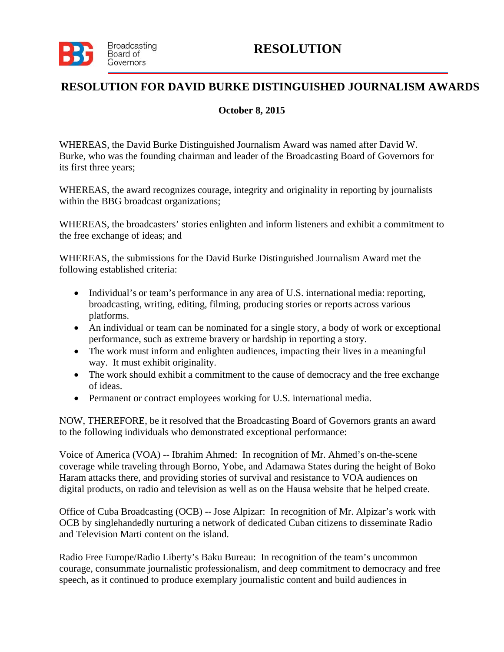

## **RESOLUTION**

## **RESOLUTION FOR DAVID BURKE DISTINGUISHED JOURNALISM AWARDS**

## **October 8, 2015**

WHEREAS, the David Burke Distinguished Journalism Award was named after David W. Burke, who was the founding chairman and leader of the Broadcasting Board of Governors for its first three years;

WHEREAS, the award recognizes courage, integrity and originality in reporting by journalists within the BBG broadcast organizations;

WHEREAS, the broadcasters' stories enlighten and inform listeners and exhibit a commitment to the free exchange of ideas; and

WHEREAS, the submissions for the David Burke Distinguished Journalism Award met the following established criteria:

- Individual's or team's performance in any area of U.S. international media: reporting, broadcasting, writing, editing, filming, producing stories or reports across various platforms.
- An individual or team can be nominated for a single story, a body of work or exceptional performance, such as extreme bravery or hardship in reporting a story.
- The work must inform and enlighten audiences, impacting their lives in a meaningful way. It must exhibit originality.
- The work should exhibit a commitment to the cause of democracy and the free exchange of ideas.
- Permanent or contract employees working for U.S. international media.

NOW, THEREFORE, be it resolved that the Broadcasting Board of Governors grants an award to the following individuals who demonstrated exceptional performance:

Voice of America (VOA) -- Ibrahim Ahmed: In recognition of Mr. Ahmed's on-the-scene coverage while traveling through Borno, Yobe, and Adamawa States during the height of Boko Haram attacks there, and providing stories of survival and resistance to VOA audiences on digital products, on radio and television as well as on the Hausa website that he helped create.

Office of Cuba Broadcasting (OCB) -- Jose Alpizar: In recognition of Mr. Alpizar's work with OCB by singlehandedly nurturing a network of dedicated Cuban citizens to disseminate Radio and Television Marti content on the island.

Radio Free Europe/Radio Liberty's Baku Bureau: In recognition of the team's uncommon courage, consummate journalistic professionalism, and deep commitment to democracy and free speech, as it continued to produce exemplary journalistic content and build audiences in